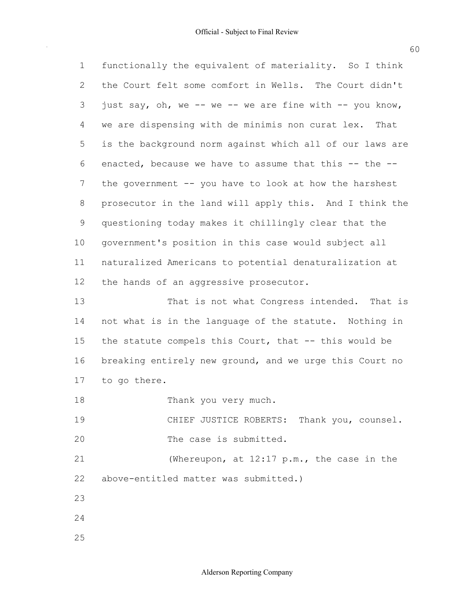functionally the equivalent of materiality. So I think the Court felt some comfort in Wells. The Court didn't just say, oh, we -- we -- we are fine with -- you know, we are dispensing with de minimis non curat lex. That is the background norm against which all of our laws are enacted, because we have to assume that this -- the -- the government -- you have to look at how the harshest prosecutor in the land will apply this. And I think the questioning today makes it chillingly clear that the government's position in this case would subject all naturalized Americans to potential denaturalization at the hands of an aggressive prosecutor. not what is in the language of the statute. Nothing in the statute compels this Court, that -- this would be 1 2 3 4 5 6 7 8 9 10 11 12 13 14 15 That is not what Congress intended. That is

 breaking entirely new ground, and we urge this Court no to go there. 16 17

18 Thank you very much.

19  $20$ CHIEF JUSTICE ROBERTS: Thank you, counsel. The case is submitted.

 above-entitled matter was submitted.) 21 22 (Whereupon, at 12:17 p.m., the case in the

- 23
- 24
- 25

Alderson Reporting Company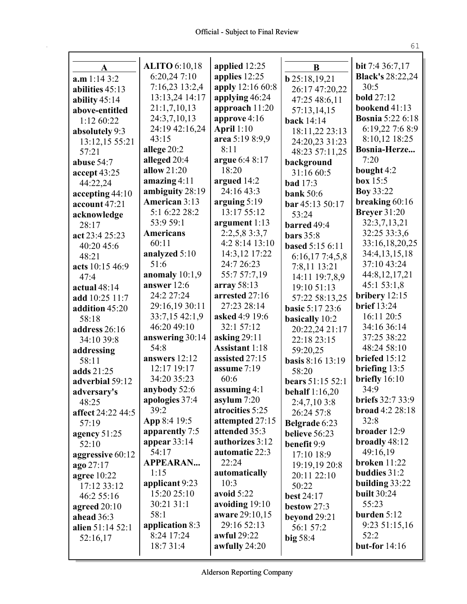| A                 | <b>ALITO</b> 6:10,18              | applied 12:25                     | B                      | bit 7:4 36:7,17                          |
|-------------------|-----------------------------------|-----------------------------------|------------------------|------------------------------------------|
| a.m 1:14 3:2      | 6:20,247:10<br>7:16,23 13:2,4     | applies 12:25<br>apply 12:16 60:8 | <b>b</b> 25:18,19,21   | <b>Black's 28:22,24</b><br>30:5          |
| abilities 45:13   | 13:13,24 14:17                    |                                   | 26:17 47:20,22         | <b>bold</b> 27:12                        |
| ability $45:14$   |                                   | applying 46:24                    | 47:25 48:6,11          |                                          |
| above-entitled    | 21:1,7,10,13                      | approach 11:20                    | 57:13,14,15            | bookend 41:13<br><b>Bosnia 5:22 6:18</b> |
| 1:12 60:22        | 24:3,7,10,13<br>24:19 42:16,24    | approve $4:16$                    | <b>back</b> 14:14      |                                          |
| absolutely 9:3    | 43:15                             | April $1:10$                      | 18:11,22 23:13         | 6:19,22 7:6 8:9                          |
| 13:12,15 55:21    |                                   | area 5:19 8:9,9<br>8:11           | 24:20,23 31:23         | 8:10,12 18:25<br>Bosnia-Herze            |
| 57:21             | allege 20:2<br>alleged 20:4       |                                   | 48:23 57:11,25         | 7:20                                     |
| abuse 54:7        | allow $21:20$                     | argue 6:4 8:17<br>18:20           | background             |                                          |
| accept 43:25      |                                   |                                   | 31:16 60:5             | bought 4:2<br>box $15:5$                 |
| 44:22,24          | amazing $4:11$<br>ambiguity 28:19 | argued 14:2<br>24:16 43:3         | <b>bad</b> 17:3        | <b>Boy 33:22</b>                         |
| accepting $44:10$ | American 3:13                     | arguing $5:19$                    | <b>bank</b> 50:6       | breaking 60:16                           |
| account 47:21     | 5:1 6:22 28:2                     | 13:17 55:12                       | bar 45:13 50:17        | <b>Breyer</b> 31:20                      |
| acknowledge       | 53:9 59:1                         | argument 1:13                     | 53:24                  | 32:3,7,13,21                             |
| 28:17             | <b>Americans</b>                  | 2:2,5,8 3:3,7                     | barred 49:4            | 32:25 33:3,6                             |
| act 23:4 25:23    | 60:11                             | 4:2 8:14 13:10                    | bars $35:8$            | 33:16,18,20,25                           |
| 40:20 45:6        | analyzed 5:10                     | 14:3,12 17:22                     | <b>based 5:15 6:11</b> | 34:4,13,15,18                            |
| 48:21             | 51:6                              | 24:7 26:23                        | 6:16,177:4,5,8         | 37:10 43:24                              |
| acts 10:15 46:9   | anomaly 10:1,9                    | 55:7 57:7,19                      | 7:8,11 13:21           | 44:8,12,17,21                            |
| 47:4              | answer 12:6                       | array $58:13$                     | 14:11 19:7,8,9         | 45:1 53:1,8                              |
| actual $48:14$    | 24:2 27:24                        | arrested 27:16                    | 19:10 51:13            | bribery $12:15$                          |
| add 10:25 11:7    | 29:16,19 30:11                    | 27:23 28:14                       | 57:22 58:13,25         | <b>brief</b> 13:24                       |
| addition 45:20    | 33:7,15 42:1,9                    | asked 4:9 19:6                    | <b>basic 5:17 23:6</b> | 16:11 20:5                               |
| 58:18             | 46:20 49:10                       | 32:1 57:12                        | basically 10:2         | 34:16 36:14                              |
| address 26:16     | answering 30:14                   | asking $29:11$                    | 20:22,24 21:17         | 37:25 38:22                              |
| 34:10 39:8        | 54:8                              | <b>Assistant 1:18</b>             | 22:18 23:15            | 48:24 58:10                              |
| addressing        | answers 12:12                     | assisted 27:15                    | 59:20,25               | briefed 15:12                            |
| 58:11             | 12:17 19:17                       | assume 7:19                       | basis 8:16 13:19       | briefing 13:5                            |
| adds 21:25        | 34:20 35:23                       | 60:6                              | 58:20                  | briefly $16:10$                          |
| adverbial 59:12   | anybody 52:6                      | assuming 4:1                      | bears 51:15 52:1       | 34:9                                     |
| adversary's       | apologies 37:4                    | asylum $7:20$                     | behalf $1:16,20$       | <b>briefs</b> 32:7 33:9                  |
| 48:25             | 39:2                              | atrocities 5:25                   | 2:4,7,103:8            | broad 4:2 28:18                          |
| affect 24:22 44:5 | App 8:4 19:5                      | attempted 27:15                   | 26:24 57:8             | 32:8                                     |
| 57:19             | apparently 7:5                    | attended 35:3                     | Belgrade 6:23          | broader 12:9                             |
| agency 51:25      | appear 33:14                      | authorizes 3:12                   | believe 56:23          | broadly 48:12                            |
| 52:10             | 54:17                             | automatic 22:3                    | benefit 9:9            | 49:16,19                                 |
| aggressive 60:12  | <b>APPEARAN</b>                   | 22:24                             | 17:10 18:9             | <b>broken</b> 11:22                      |
| ago 27:17         | 1:15                              | automatically                     | 19:19,19 20:8          | buddies 31:2                             |
| agree 10:22       | applicant 9:23                    | 10:3                              | 20:11 22:10            | building 33:22                           |
| 17:12 33:12       | 15:20 25:10                       | avoid $5:22$                      | 50:22                  | <b>built 30:24</b>                       |
| 46:2 55:16        | 30:21 31:1                        | avoiding 19:10                    | best 24:17             | 55:23                                    |
| agreed $20:10$    | 58:1                              | aware 29:10,15                    | bestow 27:3            | burden $5:12$                            |
| ahead 36:3        | application 8:3                   | 29:16 52:13                       | beyond 29:21           | 9:23 51:15,16                            |
| alien 51:14 52:1  | 8:24 17:24                        | awful 29:22                       | 56:1 57:2              | 52:2                                     |
| 52:16,17          | 18:7 31:4                         | awfully 24:20                     | big 58:4               | <b>but-for</b> 14:16                     |
|                   |                                   |                                   |                        |                                          |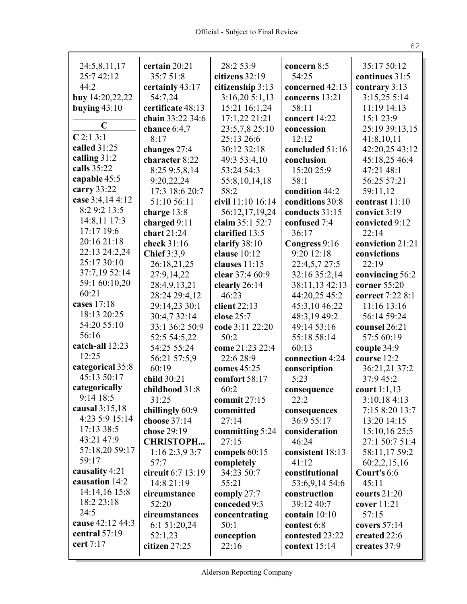| 24:5,8,11,17                       | certain 20:21      | 28:2 53:9         | concern 8:5      | 35:17 50:12      |
|------------------------------------|--------------------|-------------------|------------------|------------------|
| 25:7 42:12                         | 35:7 51:8          | citizens 32:19    | 54:25            | continues 31:5   |
| 44:2                               | certainly 43:17    | citizenship 3:13  | concerned 42:13  | contrary 3:13    |
| buy 14:20,22,22                    | 54:7,24            | 3:16,205:1,13     | concerns 13:21   | 3:15,25 5:14     |
| buying $43:10$                     | certificate 48:13  | 15:21 16:1,24     | 58:11            | 11:19 14:13      |
| $\mathbf C$                        | chain 33:22 34:6   | 17:1,22 21:21     | concert 14:22    | 15:1 23:9        |
| C2:13:1                            | chance $6:4,7$     | 23:5,7,8 25:10    | concession       | 25:19 39:13,15   |
| called 31:25                       | 8:17               | 25:13 26:6        | 12:12            | 41:8,10,11       |
| calling $31:2$                     | changes 27:4       | 30:12 32:18       | concluded 51:16  | 42:20,25 43:12   |
| calls 35:22                        | character 8:22     | 49:3 53:4,10      | conclusion       | 45:18,25 46:4    |
| capable 45:5                       | 8:25 9:5,8,14      | 53:24 54:3        | 15:20 25:9       | 47:21 48:1       |
| carry 33:22                        | 9:20,22,24         | 55:8,10,14,18     | 58:1             | 56:25 57:21      |
| case 3:4,14 4:12                   | 17:3 18:6 20:7     | 58:2              | condition 44:2   | 59:11,12         |
| 8:2 9:2 13:5                       | 51:10 56:11        | civil 11:10 16:14 | conditions 30:8  | contrast 11:10   |
| 14:8,11 17:3                       | charge 13:8        | 56:12,17,19,24    | conducts 31:15   | convict 3:19     |
| $17:17$ 19:6                       | charged 9:11       | claim 35:1 52:7   | confused 7:4     | convicted 9:12   |
| 20:16 21:18                        | chart $21:24$      | clarified 13:5    | 36:17            | 22:14            |
| 22:13 24:2,24                      | check 31:16        | clarify 38:10     | Congress 9:16    | conviction 21:21 |
| 25:17 30:10                        | <b>Chief</b> 3:3,9 | clause $10:12$    | 9:20 12:18       | convictions      |
| 37:7,19 52:14                      | 26:18,21,25        | clauses 11:15     | 22:4,5,7 27:5    | 22:19            |
| 59:1 60:10,20                      | 27:9,14,22         | clear 37:4 60:9   | 32:16 35:2,14    | convincing 56:2  |
| 60:21                              | 28:4,9,13,21       | clearly 26:14     | 38:11,13 42:13   | corner 55:20     |
| cases 17:18                        | 28:24 29:4,12      | 46:23             | 44:20,25 45:2    | correct 7:22 8:1 |
| 18:13 20:25                        | 29:14,23 30:1      | client $22:13$    | 45:3,10 46:22    | 11:16 13:16      |
| 54:20 55:10                        | 30:4,7 32:14       | close 25:7        | 48:3,19 49:2     | 56:14 59:24      |
| 56:16                              | 33:1 36:2 50:9     | code 3:11 22:20   | 49:14 53:16      | counsel 26:21    |
| catch-all 12:23                    | 52:5 54:5,22       | 50:2              | 55:18 58:14      | 57:5 60:19       |
| 12:25                              | 54:25 55:24        | come 21:23 22:4   | 60:13            | couple 34:9      |
| categorical 35:8                   | 56:21 57:5,9       | 22:6 28:9         | connection 4:24  | course 12:2      |
| 45:13 50:17                        | 60:19              | comes 45:25       | conscription     | 36:21,21 37:2    |
|                                    | child 30:21        | comfort 58:17     | 5:23             | 37:9 45:2        |
| categorically<br>9:14 18:5         | childhood 31:8     | 60:2              | consequence      | court $1:1,13$   |
|                                    | 31:25              | commit 27:15      | 22:2             | 3:10,184:13      |
| causal $3:15,18$<br>4:23 5:9 15:14 | chillingly 60:9    | committed         | consequences     | 7:15 8:20 13:7   |
| 17:13 38:5                         | choose 37:14       | 27:14             | 36:9 55:17       | 13:20 14:15      |
| 43:21 47:9                         | chose 29:19        | committing 5:24   | consideration    | 15:10,16 25:5    |
| 57:18,20 59:17                     | <b>CHRISTOPH</b>   | 27:15             | 46:24            | 27:1 50:7 51:4   |
| 59:17                              | 1:162:3,93:7       | compels 60:15     | consistent 18:13 | 58:11,17 59:2    |
| causality 4:21                     | 57:7               | completely        | 41:12            | 60:2,2,15,16     |
| causation 14:2                     | circuit 6:7 13:19  | 34:23 50:7        | constitutional   | Court's 6:6      |
| 14:14,16 15:8                      | 14:8 21:19         | 55:21             | 53:6,9,14 54:6   | 45:11            |
| 18:2 23:18                         | circumstance       | comply 27:7       | construction     | courts $21:20$   |
| 24:5                               | 52:20              | conceded 9:3      | 39:12 40:7       | cover 11:21      |
| cause 42:12 44:3                   | circumstances      | concentrating     | contain $10:10$  | 57:15            |
| central 57:19                      | 6:1 51:20,24       | 50:1              | contest 6:8      | covers $57:14$   |
| cert 7:17                          | 52:1,23            | conception        | contested 23:22  | created 22:6     |
|                                    | citizen 27:25      | 22:16             | context 15:14    | creates 37:9     |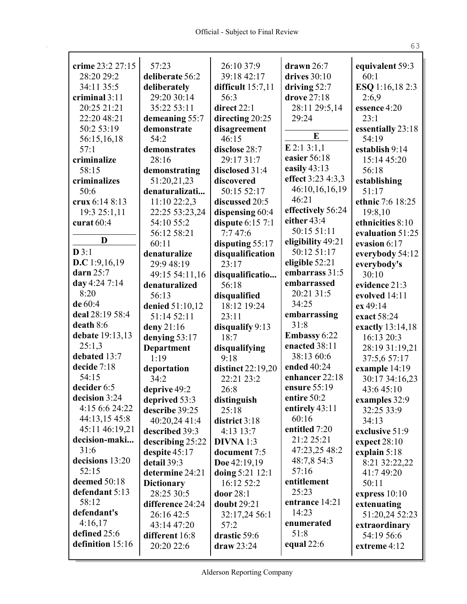| crime 23:2 27:15                | 57:23                          | 26:10 37:9                   | drawn $26:7$               |                               |
|---------------------------------|--------------------------------|------------------------------|----------------------------|-------------------------------|
| 28:20 29:2                      | deliberate 56:2                | 39:18 42:17                  | drives $30:10$             | equivalent 59:3<br>60:1       |
| 34:11 35:5                      | deliberately                   | difficult $15:7,11$          | driving 52:7               | ESQ 1:16,18 2:3               |
| criminal 3:11                   | 29:20 30:14                    | 56:3                         | drove 27:18                | 2:6,9                         |
| 20:25 21:21                     | 35:22 53:11                    | direct 22:1                  | 28:11 29:5,14              | essence 4:20                  |
| 22:20 48:21                     | demeaning 55:7                 | directing 20:25              | 29:24                      | 23:1                          |
| 50:2 53:19                      | demonstrate                    | disagreement                 |                            | essentially 23:18             |
| 56:15,16,18                     | 54:2                           | 46:15                        | E                          | 54:19                         |
| 57:1                            | demonstrates                   | disclose 28:7                | $E$ 2:1 3:1,1              | establish 9:14                |
| criminalize                     | 28:16                          | 29:17 31:7                   | easier 56:18               | 15:14 45:20                   |
| 58:15                           | demonstrating                  | disclosed 31:4               | easily $43:13$             | 56:18                         |
| criminalizes                    | 51:20,21,23                    | discovered                   | effect 3:23 4:3,3          | establishing                  |
| 50:6                            | denaturalizati                 | 50:15 52:17                  | 46:10,16,16,19             | 51:17                         |
| crux 6:14 8:13                  | 11:10 22:2,3                   | discussed 20:5               | 46:21                      | ethnic 7:6 18:25              |
| 19:3 25:1,11                    | 22:25 53:23,24                 | dispensing 60:4              | effectively 56:24          | 19:8,10                       |
| curat 60:4                      | 54:10 55:2                     | dispute $6:157:1$            | either 43:4<br>50:15 51:11 | ethnicities 8:10              |
| D                               | 56:12 58:21                    | 7:747:6                      | eligibility 49:21          | evaluation 51:25              |
| D3:1                            | 60:11                          | disputing 55:17              | 50:12 51:17                | evasion 6:17                  |
| D.C $1:9,16,19$                 | denaturalize<br>29:9 48:19     | disqualification<br>23:17    | eligible 52:21             | everybody 54:12               |
| darn $25:7$                     | 49:15 54:11,16                 | disqualificatio              | embarrass 31:5             | everybody's<br>30:10          |
| day 4:24 7:14                   | denaturalized                  | 56:18                        | embarrassed                | evidence 21:3                 |
| 8:20                            | 56:13                          | disqualified                 | 20:21 31:5                 | evolved 14:11                 |
| de 60:4                         | denied 51:10,12                | 18:12 19:24                  | 34:25                      | ex 49:14                      |
| deal 28:19 58:4                 | 51:14 52:11                    | 23:11                        | embarrassing               | exact 58:24                   |
| death 8:6                       | deny 21:16                     | disqualify 9:13              | 31:8                       | exactly 13:14,18              |
| debate 19:13,13                 | denying 53:17                  | 18:7                         | <b>Embassy 6:22</b>        | 16:13 20:3                    |
| 25:1,3                          | <b>Department</b>              | disqualifying                | enacted 38:11              | 28:19 31:19,21                |
| debated 13:7                    | 1:19                           | 9:18                         | 38:13 60:6                 | 37:5,6 57:17                  |
| decide 7:18                     | deportation                    | distinct 22:19,20            | ended 40:24                | example 14:19                 |
| 54:15                           | 34:2                           | 22:21 23:2                   | enhancer 22:18             | 30:17 34:16,23                |
| decider 6:5                     | deprive 49:2                   | 26:8                         | ensure 55:19               | 43:645:10                     |
| decision 3:24                   | deprived 53:3                  | distinguish                  | entire 50:2                | examples 32:9                 |
| 4:15 6:6 24:22                  | describe 39:25                 | 25:18                        | entirely 43:11<br>60:16    | 32:25 33:9                    |
| 44:13,15 45:8<br>45:11 46:19,21 | 40:20,24 41:4                  | district 3:18                | entitled 7:20              | 34:13                         |
| decision-maki                   | described 39:3                 | 4:13 13:7                    | 21:2 25:21                 | exclusive 51:9                |
| 31:6                            | describing 25:22               | $DIVNA$ 1:3                  | 47:23,25 48:2              | expect 28:10                  |
| decisions 13:20                 | despite $45:17$<br>detail 39:3 | document 7:5<br>Doe 42:19,19 | 48:7,8 54:3                | explain 5:18<br>8:21 32:22,22 |
| 52:15                           | determine 24:21                | doing 5:21 12:1              | 57:16                      | 41:7 49:20                    |
| deemed 50:18                    | <b>Dictionary</b>              | 16:12 52:2                   | entitlement                | 50:11                         |
| defendant 5:13                  | 28:25 30:5                     | door 28:1                    | 25:23                      | express $10:10$               |
| 58:12                           | difference 24:24               | doubt 29:21                  | entrance 14:21             | extenuating                   |
| defendant's                     | 26:16 42:5                     | 32:17,24 56:1                | 14:23                      | 51:20,24 52:23                |
| 4:16,17                         | 43:14 47:20                    | 57:2                         | enumerated                 | extraordinary                 |
| defined 25:6                    | different 16:8                 | drastic 59:6                 | 51:8                       | 54:19 56:6                    |
| definition 15:16                | 20:20 22:6                     | draw 23:24                   | equal $22:6$               | extreme 4:12                  |
|                                 |                                |                              |                            |                               |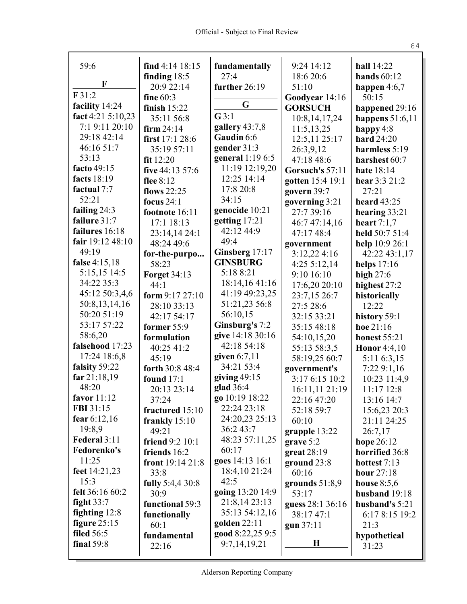| 59:6              | find $4:14$ $18:15$     |                       | 9:24 14:12       | hall 14:22          |
|-------------------|-------------------------|-----------------------|------------------|---------------------|
|                   | finding 18:5            | fundamentally<br>27:4 | 18:6 20:6        | hands $60:12$       |
| F                 | 20:9 22:14              | further 26:19         | 51:10            | happen $4:6,7$      |
| F31:2             | fine 60:3               |                       | Goodyear 14:16   | 50:15               |
| facility 14:24    | finish $15:22$          | G                     | <b>GORSUCH</b>   | happened 29:16      |
| fact 4:21 5:10,23 | 35:11 56:8              | G3:1                  | 10:8, 14, 17, 24 | happens $51:6,11$   |
| 7:1 9:11 20:10    | firm $24:14$            | gallery $43:7,8$      | 11:5,13,25       | happy $4:8$         |
| 29:18 42:14       | first 17:1 28:6         | Gaudin 6:6            | 12:5,11 25:17    | <b>hard</b> 24:20   |
| 46:16 51:7        | 35:19 57:11             | gender 31:3           | 26:3,9,12        | harmless 5:19       |
| 53:13             | fit 12:20               | general 1:19 6:5      | 47:18 48:6       | harshest 60:7       |
| facto 49:15       | five 44:13 57:6         | 11:19 12:19,20        | Gorsuch's 57:11  | <b>hate</b> 18:14   |
| facts 18:19       | flee $8:12$             | 12:25 14:14           | gotten 15:4 19:1 | hear 3:3 21:2       |
| factual 7:7       | flows 22:25             | 17:8 20:8             | govern 39:7      | 27:21               |
| 52:21             | focus $24:1$            | 34:15                 | governing 3:21   | heard 43:25         |
| failing $24:3$    | footnote 16:11          | genocide 10:21        | 27:7 39:16       | hearing $33:21$     |
| failure 31:7      | 17:1 18:13              | getting 17:21         | 46:7 47:14,16    | heart $7:1,7$       |
| failures 16:18    | 23:14,14 24:1           | 42:12 44:9            | 47:17 48:4       | held 50:7 51:4      |
| fair 19:12 48:10  | 48:24 49:6              | 49:4                  | government       | help 10:9 26:1      |
| 49:19             | for-the-purpo           | Ginsberg 17:17        | 3:12,224:16      | 42:22 43:1,17       |
| false 4:15,18     | 58:23                   | <b>GINSBURG</b>       | 4:255:12,14      | helps $17:16$       |
| 5:15,15 14:5      | <b>Forget 34:13</b>     | 5:18 8:21             | 9:10 16:10       | high $27:6$         |
| 34:22 35:3        | 44:1                    | 18:14,16 41:16        | 17:6,20 20:10    | highest 27:2        |
| 45:12 50:3,4,6    | form 9:17 27:10         | 41:19 49:23,25        | 23:7,15 26:7     | historically        |
| 50:8,13,14,16     | 28:10 33:13             | 51:21,23 56:8         | 27:5 28:6        | 12:22               |
| 50:20 51:19       | 42:17 54:17             | 56:10,15              | 32:15 33:21      | history 59:1        |
| 53:17 57:22       | former $55:9$           | Ginsburg's 7:2        | 35:15 48:18      | hoe $21:16$         |
| 58:6,20           | formulation             | give 14:18 30:16      | 54:10,15,20      | <b>honest</b> 55:21 |
| falsehood 17:23   | 40:25 41:2              | 42:18 54:18           | 55:13 58:3,5     | <b>Honor</b> 4:4,10 |
| 17:24 18:6,8      | 45:19                   | given $6:7,11$        | 58:19,25 60:7    | 5:11 6:3,15         |
| falsity 59:22     | forth 30:8 48:4         | 34:21 53:4            | government's     | 7:229:1,16          |
| far 21:18,19      | <b>found</b> 17:1       | giving $49:15$        | 3:17 6:15 10:2   | 10:23 11:4,9        |
| 48:20             | 20:13 23:14             | glad 36:4             | 16:11,11 21:19   | 11:17 12:8          |
| favor 11:12       | 37:24                   | go 10:19 18:22        | 22:16 47:20      | 13:16 14:7          |
| FBI 31:15         | fractured 15:10         | 22:24 23:18           | 52:18 59:7       | 15:6,23 20:3        |
| fear $6:12,16$    | frankly $15:10$         | 24:20,23 25:13        | 60:10            | 21:11 24:25         |
| 19:8,9            | 49:21                   | 36:2 43:7             | grapple 13:22    | 26:7,17             |
| Federal 3:11      | friend 9:2 10:1         | 48:23 57:11,25        | grave 5:2        | hope 26:12          |
| Fedorenko's       | friends 16:2            | 60:17                 | great $28:19$    | horrified 36:8      |
| 11:25             | front 19:14 21:8        | goes 14:13 16:1       | ground $23:8$    | hottest 7:13        |
| feet 14:21,23     | 33:8                    | 18:4,10 21:24         | 60:16            | <b>hour</b> 27:18   |
| 15:3              | <b>fully</b> 5:4,4 30:8 | 42:5                  | grounds $51:8,9$ | house $8:5,6$       |
| felt 36:16 60:2   | 30:9                    | going 13:20 14:9      | 53:17            | husband 19:18       |
| fight $33:7$      | functional 59:3         | 21:8,14 23:13         | guess 28:1 36:16 | husband's 5:21      |
| fighting $12:8$   | functionally            | 35:13 54:12,16        | 38:17 47:1       | 6:17 8:15 19:2      |
| figure $25:15$    | 60:1                    | golden $22:11$        | gun 37:11        | 21:3                |
| <b>filed</b> 56:5 | fundamental             | good 8:22,25 9:5      |                  | hypothetical        |
| final 59:8        | 22:16                   | 9:7,14,19,21          | $\mathbf H$      | 31:23               |
|                   |                         |                       |                  |                     |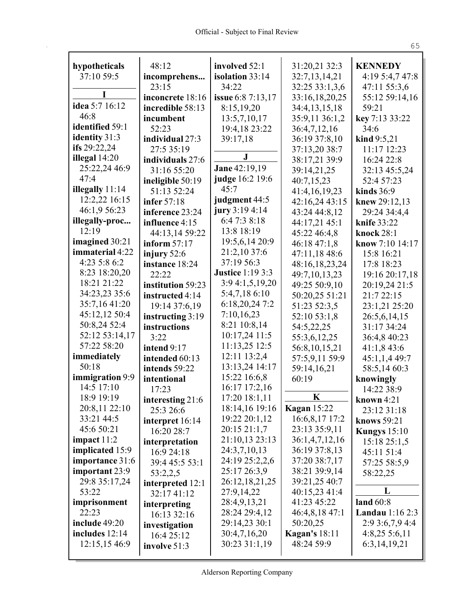| hypotheticals    | 48:12             | involved 52:1           | 31:20,21 32:3        | <b>KENNEDY</b>         |
|------------------|-------------------|-------------------------|----------------------|------------------------|
| 37:10 59:5       | incomprehens      | isolation 33:14         | 32:7,13,14,21        | 4:19 5:4,7 47:8        |
|                  | 23:15             | 34:22                   | 32:25 33:1,3,6       | 47:11 55:3,6           |
|                  | inconcrete 18:16  | issue 6:8 7:13,17       | 33:16,18,20,25       | 55:12 59:14,16         |
| idea 5:7 16:12   | incredible 58:13  | 8:15,19,20              | 34:4,13,15,18        | 59:21                  |
| 46:8             | incumbent         | 13:5,7,10,17            | 35:9,11 36:1,2       | key 7:13 33:22         |
| identified 59:1  | 52:23             | 19:4,18 23:22           | 36:4,7,12,16         | 34:6                   |
| identity 31:3    | individual 27:3   | 39:17,18                | 36:19 37:8,10        | kind $9:5,21$          |
| ifs $29:22,24$   | 27:5 35:19        |                         | 37:13,20 38:7        | 11:17 12:23            |
| illegal 14:20    | individuals 27:6  | $\bf J$                 | 38:17,21 39:9        | 16:24 22:8             |
| 25:22,24 46:9    | 31:16 55:20       | Jane 42:19,19           | 39:14,21,25          | 32:13 45:5,24          |
| 47:4             | ineligible 50:19  | judge 16:2 19:6         | 40:7,15,23           | 52:4 57:23             |
| illegally 11:14  | 51:13 52:24       | 45:7                    | 41:4,16,19,23        | kinds $36:9$           |
| 12:2,22 16:15    | infer 57:18       | judgment 44:5           | 42:16,24 43:15       | knew 29:12,13          |
| 46:1,9 56:23     | inference 23:24   | jury 3:19 4:14          | 43:24 44:8,12        | 29:24 34:4,4           |
| illegally-proc   | influence 4:15    | 6:47:38:18              | 44:17,21 45:1        | knife 33:22            |
| 12:19            | 44:13,14 59:22    | 13:8 18:19              | 45:22 46:4,8         | <b>knock 28:1</b>      |
| imagined 30:21   | inform $57:17$    | 19:5,6,14 20:9          | 46:18 47:1,8         | know 7:10 14:17        |
| immaterial 4:22  | injury 52:6       | 21:2,10 37:6            | 47:11,18 48:6        | 15:8 16:21             |
| 4:23 5:8 6:2     | instance 18:24    | 37:19 56:3              | 48:16,18,23,24       | 17:8 18:23             |
| 8:23 18:20,20    | 22:22             | <b>Justice 1:19 3:3</b> | 49:7,10,13,23        | 19:16 20:17,18         |
| 18:21 21:22      | institution 59:23 | 3:9 4:1,5,19,20         | 49:25 50:9,10        | 20:19,24 21:5          |
| 34:23,23 35:6    | instructed 4:14   | 5:4,7,18 6:10           | 50:20,25 51:21       | 21:7 22:15             |
| 35:7,16 41:20    | 19:14 37:6,19     | 6:18,20,24 7:2          | 51:23 52:3,5         | 23:1,21 25:20          |
| 45:12,12 50:4    | instructing 3:19  | 7:10,16,23              | 52:10 53:1,8         | 26:5,6,14,15           |
| 50:8,24 52:4     | instructions      | 8:21 10:8,14            | 54:5,22,25           | 31:17 34:24            |
| 52:12 53:14,17   | 3:22              | 10:17,24 11:5           | 55:3,6,12,25         | 36:4,8 40:23           |
| 57:22 58:20      | intend 9:17       | 11:13,25 12:5           | 56:8,10,15,21        | 41:1,843:6             |
| immediately      | intended 60:13    | 12:11 13:2,4            | 57:5,9,11 59:9       | 45:1,1,449:7           |
| 50:18            | intends 59:22     | 13:13,24 14:17          | 59:14,16,21          | 58:5,14 60:3           |
| immigration 9:9  | intentional       | 15:22 16:6,8            | 60:19                | knowingly              |
| 14:5 17:10       | 17:23             | 16:17 17:2,16           |                      | 14:22 38:9             |
| 18:9 19:19       | interesting 21:6  | 17:20 18:1,11           | K                    | known $4:21$           |
| 20:8,11 22:10    | 25:3 26:6         | 18:14,16 19:16          | <b>Kagan</b> 15:22   | 23:12 31:18            |
| 33:21 44:5       | interpret 16:14   | 19:22 20:1,12           | 16:6,8,17 17:2       | knows 59:21            |
| 45:6 50:21       | 16:20 28:7        | 20:15 21:1,7            | 23:13 35:9,11        | Kungys $15:10$         |
| impact $11:2$    | interpretation    | 21:10,13 23:13          | 36:1,4,7,12,16       | 15:1825:1,5            |
| implicated 15:9  | 16:9 24:18        | 24:3,7,10,13            | 36:19 37:8,13        | 45:11 51:4             |
| importance 31:6  | 39:4 45:5 53:1    | 24:19 25:2,2,6          | 37:20 38:7,17        | 57:25 58:5,9           |
| important 23:9   | 53:2,2,5          | 25:17 26:3,9            | 38:21 39:9,14        | 58:22,25               |
| 29:8 35:17,24    | interpreted 12:1  | 26:12,18,21,25          | 39:21,25 40:7        |                        |
| 53:22            | 32:17 41:12       | 27:9,14,22              | 40:15,23 41:4        | L                      |
| imprisonment     | interpreting      | 28:4,9,13,21            | 41:23 45:22          | land $60:8$            |
| 22:23            | 16:13 32:16       | 28:24 29:4,12           | 46:4,8,18 47:1       | <b>Landau</b> 1:16 2:3 |
| include 49:20    | investigation     | 29:14,23 30:1           | 50:20,25             | 2:93:6,7,94:4          |
| includes $12:14$ | 16:4 25:12        | 30:4,7,16,20            | <b>Kagan's</b> 18:11 | $4:8,25\;5:6,11$       |
| 12:15,15 46:9    | involve 51:3      | 30:23 31:1,19           | 48:24 59:9           | 6:3,14,19,21           |
|                  |                   |                         |                      |                        |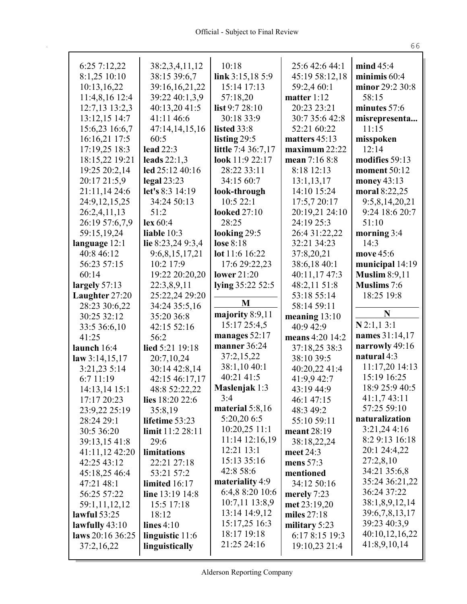| 6:25 7:12,22                   | 38:2,3,4,11,12        | 10:18               | 25:6 42:6 44:1              | mind 45:4            |
|--------------------------------|-----------------------|---------------------|-----------------------------|----------------------|
| 8:1,25 10:10                   | 38:15 39:6,7          | link $3:15,185:9$   | 45:19 58:12,18              | minimis $60:4$       |
| 10:13,16,22                    | 39:16,16,21,22        | 15:14 17:13         | 59:2,4 60:1                 | minor 29:2 30:8      |
| 11:4,8,16 12:4                 | 39:22 40:1,3,9        | 57:18,20            | matter $1:12$               | 58:15                |
| 12:7,13 13:2,3                 | 40:13,20 41:5         | list 9:7 28:10      | 20:23 23:21                 | minutes 57:6         |
| 13:12,15 14:7                  | 41:11 46:6            | 30:18 33:9          | 30:7 35:6 42:8              | misrepresenta        |
| 15:6,23 16:6,7                 | 47:14,14,15,16        | listed 33:8         | 52:21 60:22                 | 11:15                |
| 16:16,21 17:5                  | 60:5                  | listing 29:5        | matters $45:13$             | misspoken            |
| 17:19,25 18:3                  | <b>lead</b> 22:3      | little 7:4 36:7,17  | maximum 22:22               | 12:14                |
| 18:15,22 19:21                 | leads $22:1,3$        | look 11:9 22:17     | mean 7:16 8:8               | modifies 59:13       |
| 19:25 20:2,14                  | led 25:12 40:16       | 28:22 33:11         | 8:18 12:13                  | moment 50:12         |
| 20:17 21:5,9                   | $\text{legal } 23:23$ | 34:15 60:7          | 13:1,13,17                  | money 43:13          |
| 21:11,14 24:6                  | let's 8:3 14:19       | look-through        | 14:10 15:24                 | moral 8:22,25        |
| 24:9, 12, 15, 25               | 34:24 50:13           | 10:522:1            | 17:5,7 20:17                | 9:5,8,14,20,21       |
| 26:2,4,11,13                   | 51:2                  | <b>looked</b> 27:10 | 20:19,21 24:10              | 9:24 18:6 20:7       |
| 26:19 57:6,7,9                 | lex 60:4              | 28:25               | 24:19 25:3                  | 51:10                |
| 59:15,19,24                    | liable $10:3$         | looking 29:5        | 26:4 31:22,22               | morning 3:4          |
| language 12:1                  | lie 8:23,24 9:3,4     | lose 8:18           | 32:21 34:23                 | 14:3                 |
| 40:8 46:12                     | 9:6,8,15,17,21        | lot 11:6 16:22      | 37:8,20,21                  | move 45:6            |
| 56:23 57:15                    | 10:2 17:9             | 17:6 29:22,23       | 38:6,18 40:1                | municipal 14:19      |
| 60:14                          | 19:22 20:20,20        | lower $21:20$       | 40:11,17 47:3               | <b>Muslim 8:9,11</b> |
| largely 57:13                  | 22:3,8,9,11           | lying 35:22 52:5    | 48:2,11 51:8                | <b>Muslims</b> 7:6   |
| Laughter 27:20                 | 25:22,24 29:20        |                     | 53:18 55:14                 | 18:25 19:8           |
| 28:23 30:6,22                  | 34:24 35:5,16         | M                   | 58:14 59:11                 |                      |
| 30:25 32:12                    | 35:20 36:8            | majority 8:9,11     | meaning $13:10$             | N                    |
| 33:5 36:6,10                   | 42:15 52:16           | 15:17 25:4,5        |                             |                      |
|                                |                       |                     | 40:9 42:9                   | $N$ 2:1,1 3:1        |
| 41:25                          | 56:2                  | manages 52:17       | means 4:20 14:2             | names 31:14,17       |
| launch 16:4                    | lied 5:21 19:18       | manner 36:24        |                             | narrowly 49:16       |
|                                | 20:7,10,24            | 37:2,15,22          | 37:18,25 38:3<br>38:10 39:5 | natural 4:3          |
| law 3:14,15,17<br>3:21,23 5:14 | 30:14 42:8,14         | 38:1,10 40:1        | 40:20,22 41:4               | 11:17,20 14:13       |
| 6:7 11:19                      | 42:15 46:17,17        | 40:21 41:5          | 41:9,9 42:7                 | 15:19 16:25          |
| 14:13,14 15:1                  | 48:8 52:22,22         | Maslenjak 1:3       | 43:19 44:9                  | 18:9 25:9 40:5       |
| 17:17 20:23                    | lies 18:20 22:6       | 3:4                 | 46:1 47:15                  | 41:1,743:11          |
| 23:9,22 25:19                  | 35:8,19               | material $5:8,16$   | 48:3 49:2                   | 57:25 59:10          |
| 28:24 29:1                     | lifetime 53:23        | 5:20,20 6:5         | 55:10 59:11                 | naturalization       |
| 30:5 36:20                     | limit 11:2 28:11      | $10:20,25$ 11:1     | meant 28:19                 | 3:21,244:16          |
| 39:13,15 41:8                  | 29:6                  | 11:14 12:16,19      | 38:18,22,24                 | 8:2 9:13 16:18       |
| 41:11,12 42:20                 | limitations           | 12:21 13:1          | meet 24:3                   | 20:1 24:4,22         |
| 42:25 43:12                    | 22:21 27:18           | 15:13 35:16         | mens $57:3$                 | 27:2,8,10            |
| 45:18,25 46:4                  | 53:21 57:2            | 42:8 58:6           | mentioned                   | 34:21 35:6,8         |
| 47:21 48:1                     | limited 16:17         | materiality 4:9     | 34:12 50:16                 | 35:24 36:21,22       |
| 56:25 57:22                    | line 13:19 14:8       | 6:4,8 8:20 10:6     | merely 7:23                 | 36:24 37:22          |
| 59:1,11,12,12                  | 15:5 17:18            | 10:7,11 13:8,9      | met 23:19,20                | 38:1,8,9,12,14       |
| lawful 53:25                   | 18:12                 | 13:14 14:9,12       | miles $27:18$               | 39:6,7,8,13,17       |
| lawfully $43:10$               | lines $4:10$          | 15:17,25 16:3       | military 5:23               | 39:23 40:3,9         |
| laws 20:16 36:25               | linguistic 11:6       | 18:17 19:18         | 6:17 8:15 19:3              | 40:10,12,16,22       |
| 37:2,16,22                     | linguistically        | 21:25 24:16         | 19:10,23 21:4               | 41:8,9,10,14         |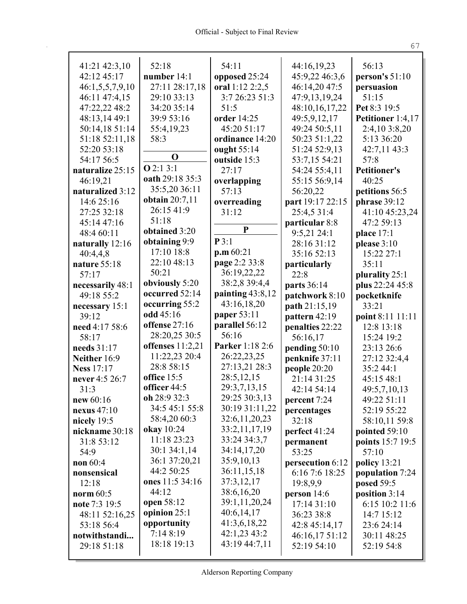| 41:21 42:3,10     | 52:18                       | 54:11                         | 44:16,19,23                     | 56:13               |
|-------------------|-----------------------------|-------------------------------|---------------------------------|---------------------|
| 42:12 45:17       | number $14:1$               | opposed 25:24                 | 45:9,22 46:3,6                  | person's 51:10      |
| 46:1,5,5,7,9,10   | 27:11 28:17,18              | oral 1:12 2:2,5               | 46:14,20 47:5                   | persuasion          |
| 46:11 47:4,15     | 29:10 33:13                 | 3:7 26:23 51:3                | 47:9,13,19,24                   | 51:15               |
| 47:22,22 48:2     | 34:20 35:14                 | 51:5                          | 48:10,16,17,22                  | Pet 8:3 19:5        |
| 48:13,14 49:1     | 39:9 53:16                  | order 14:25                   | 49:5,9,12,17                    | Petitioner 1:4,17   |
| 50:14,18 51:14    | 55:4,19,23                  | 45:20 51:17                   | 49:24 50:5,11                   | 2:4,10 3:8,20       |
| 51:18 52:11,18    | 58:3                        | ordinance 14:20               | 50:23 51:1,22                   | 5:13 36:20          |
| 52:20 53:18       |                             | ought 55:14                   | 51:24 52:9,13                   | 42:7,11 43:3        |
| 54:17 56:5        | $\mathbf 0$                 | outside 15:3                  | 53:7,15 54:21                   | 57:8                |
| naturalize 25:15  | Q2:13:1                     | 27:17                         | 54:24 55:4,11                   | <b>Petitioner's</b> |
| 46:19,21          | oath 29:18 35:3             |                               | 55:15 56:9,14                   | 40:25               |
|                   | 35:5,20 36:11               | overlapping<br>57:13          |                                 |                     |
| naturalized 3:12  | obtain $20:7,11$            |                               | 56:20,22                        | petitions 56:5      |
| 14:6 25:16        | 26:15 41:9                  | overreading                   | part 19:17 22:15                | phrase 39:12        |
| 27:25 32:18       | 51:18                       | 31:12                         | 25:4,5 31:4                     | 41:10 45:23,24      |
| 45:14 47:16       | obtained 3:20               | ${\bf P}$                     | particular 8:8                  | 47:2 59:13          |
| 48:4 60:11        |                             | P3:1                          | $9:5,21$ 24:1                   | place $17:1$        |
| naturally 12:16   | obtaining 9:9<br>17:10 18:8 |                               | 28:16 31:12                     | please $3:10$       |
| 40:4,4,8          |                             | $\mathbf{p}.\mathbf{m} 60:21$ | 35:16 52:13                     | 15:22 27:1          |
| nature 55:18      | 22:10 48:13                 | page 2:2 33:8                 | particularly                    | 35:11               |
| 57:17             | 50:21                       | 36:19,22,22                   | 22:8                            | plurality 25:1      |
| necessarily 48:1  | obviously 5:20              | 38:2,8 39:4,4                 | parts 36:14                     | plus 22:24 45:8     |
| 49:18 55:2        | occurred 52:14              | painting $43:8,12$            | patchwork 8:10                  | pocketknife         |
| necessary 15:1    | occurring 55:2              | 43:16,18,20                   | path 21:15,19                   | 33:21               |
| 39:12             | odd 45:16                   | paper 53:11                   | pattern 42:19                   | point 8:11 11:11    |
| need 4:17 58:6    | offense 27:16               | parallel 56:12                | penalties 22:22                 | 12:8 13:18          |
| 58:17             | 28:20,25 30:5               | 56:16                         | 56:16,17                        | 15:24 19:2          |
| needs 31:17       | offenses $11:2,21$          | Parker 1:18 2:6               | pending 50:10                   | 23:13 26:6          |
| Neither 16:9      | 11:22,23 20:4               | 26:22,23,25                   | penknife 37:11                  | 27:12 32:4,4        |
| <b>Ness 17:17</b> | 28:8 58:15                  | 27:13,21 28:3                 | people 20:20                    | 35:244:1            |
| never 4:5 26:7    | office 15:5                 | 28:5, 12, 15                  | 21:14 31:25                     | 45:15 48:1          |
| 31:3              | officer 44:5                | 29:3,7,13,15                  | 42:14 54:14                     | 49:5,7,10,13        |
| new $60:16$       | oh 28:9 32:3                | 29:25 30:3,13                 | percent 7:24                    | 49:22 51:11         |
| nexus $47:10$     | 34:5 45:1 55:8              | 30:19 31:11,22                | percentages                     | 52:19 55:22         |
| nicely 19:5       | 58:4,20 60:3                | 32:6,11,20,23                 | 32:18                           | 58:10,11 59:8       |
| nickname 30:18    | okay 10:24                  | 33:2,11,17,19                 | perfect 41:24                   | pointed 59:10       |
| 31:8 53:12        | 11:18 23:23                 | 33:24 34:3,7                  | permanent                       | points 15:7 19:5    |
| 54:9              | 30:1 34:1,14                | 34:14,17,20                   | 53:25                           | 57:10               |
| non 60:4          | 36:1 37:20,21               | 35:9,10,13                    | persecution 6:12                | policy $13:21$      |
| nonsensical       | 44:2 50:25                  | 36:11,15,18                   | 6:16 7:6 18:25                  | population 7:24     |
| 12:18             | ones 11:5 34:16             | 37:3,12,17                    | 19:8,9,9                        | posed 59:5          |
| norm 60:5         | 44:12                       | 38:6,16,20                    | person $14:6$                   | position 3:14       |
| note 7:3 19:5     | open 58:12                  | 39:1,11,20,24                 | 17:14 31:10                     | 6:15 10:2 11:6      |
| 48:11 52:16,25    | opinion 25:1                | 40:6,14,17                    | 36:23 38:8                      | 14:7 15:12          |
| 53:18 56:4        | opportunity                 | 41:3,6,18,22                  |                                 | 23:6 24:14          |
| notwithstandi     | 7:148:19                    | 42:1,23 43:2                  | 42:8 45:14,17<br>46:16,17 51:12 | 30:11 48:25         |
|                   |                             |                               |                                 |                     |
|                   |                             |                               |                                 |                     |
| 29:18 51:18       | 18:18 19:13                 | 43:19 44:7,11                 | 52:19 54:10                     | 52:19 54:8          |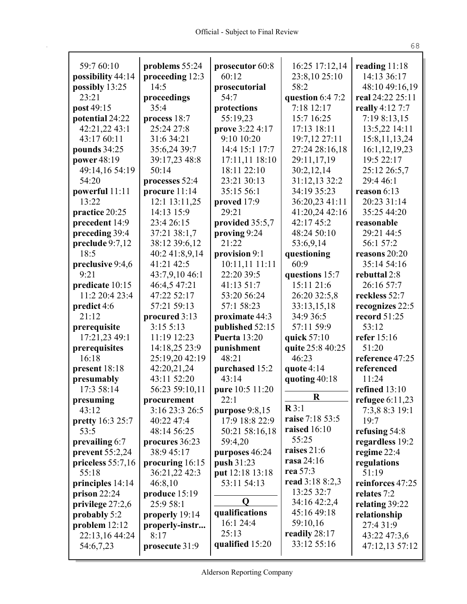| 59:7 60:10               | problems 55:24                | prosecutor 60:8<br>60:12           | 16:25 17:12,14                 | reading $11:18$<br>14:13 36:17      |
|--------------------------|-------------------------------|------------------------------------|--------------------------------|-------------------------------------|
| possibility 44:14        | proceeding 12:3<br>14:5       |                                    | 23:8,10 25:10<br>58:2          |                                     |
| possibly 13:25<br>23:21  |                               | prosecutorial<br>54:7              |                                | 48:10 49:16,19<br>real 24:22 25:11  |
| post 49:15               | proceedings<br>35:4           | protections                        | question 6:4 7:2<br>7:18 12:17 | really 4:12 7:7                     |
| potential 24:22          | process 18:7                  | 55:19,23                           | 15:7 16:25                     | 7:19 8:13,15                        |
| 42:21,22 43:1            | 25:24 27:8                    | prove 3:22 4:17                    | 17:13 18:11                    | 13:5,22 14:11                       |
| 43:17 60:11              | 31:6 34:21                    | 9:10 10:20                         | 19:7,12 27:11                  | 15:8, 11, 13, 24                    |
| pounds 34:25             | 35:6,24 39:7                  | 14:4 15:1 17:7                     | 27:24 28:16,18                 | 16:1,12,19,23                       |
| power 48:19              | 39:17,23 48:8                 | 17:11,11 18:10                     | 29:11,17,19                    | 19:5 22:17                          |
| 49:14,16 54:19           | 50:14                         | 18:11 22:10                        | 30:2,12,14                     | 25:12 26:5,7                        |
| 54:20                    | processes 52:4                | 23:21 30:13                        | 31:12,13 32:2                  | 29:4 46:1                           |
| powerful 11:11           | procure 11:14                 | 35:15 56:1                         | 34:19 35:23                    | reason $6:13$                       |
| 13:22                    | 12:1 13:11,25                 | proved 17:9                        | 36:20,23 41:11                 | 20:23 31:14                         |
| practice 20:25           | 14:13 15:9                    | 29:21                              | 41:20,24 42:16                 | 35:25 44:20                         |
| precedent 14:9           | 23:4 26:15                    | provided 35:5,7                    | 42:17 45:2                     | reasonable                          |
| preceding 39:4           | 37:21 38:1,7                  | proving 9:24                       | 48:24 50:10                    | 29:21 44:5                          |
| preclude 9:7,12          | 38:12 39:6,12                 | 21:22                              | 53:6,9,14                      | 56:1 57:2                           |
| 18:5                     | 40:2 41:8,9,14                | provision 9:1                      | questioning                    | reasons 20:20                       |
| preclusive 9:4,6         | 41:21 42:5                    | 10:11,11 11:11                     | 60:9                           | 35:14 54:16                         |
| 9:21                     | 43:7,9,10 46:1                | 22:20 39:5                         | questions 15:7                 | rebuttal 2:8                        |
| predicate 10:15          | 46:4,5 47:21                  | 41:13 51:7                         | 15:11 21:6                     | 26:16 57:7                          |
| 11:2 20:4 23:4           | 47:22 52:17                   | 53:20 56:24                        | 26:20 32:5,8                   | reckless 52:7                       |
| predict 4:6              | 57:21 59:13                   | 57:1 58:23                         | 33:13,15,18                    | recognizes 22:5                     |
| 21:12                    | procured 3:13                 | proximate 44:3                     | 34:9 36:5                      | record 51:25                        |
| prerequisite             | 3:155:13                      | published 52:15                    | 57:11 59:9                     | 53:12                               |
| 17:21,23 49:1            | 11:19 12:23                   | <b>Puerta</b> 13:20                | quick 57:10                    | refer 15:16                         |
| prerequisites            | 14:18,25 23:9                 | punishment                         | quite 25:8 40:25               | 51:20                               |
| 16:18                    | 25:19,20 42:19                | 48:21                              | 46:23                          | reference 47:25                     |
| present 18:18            | 42:20,21,24                   | purchased 15:2                     | quote $4:14$                   | referenced                          |
| presumably               | 43:11 52:20                   | 43:14                              | quoting 40:18                  | 11:24                               |
| 17:3 58:14               | 56:23 59:10,11                | pure 10:5 11:20                    | $\bf R$                        | refined 13:10                       |
| presuming<br>43:12       | procurement<br>3:16 23:3 26:5 | 22:1                               | $\mathbb{R}3:1$                | refugee $6:11,23$<br>7:3,8 8:3 19:1 |
|                          |                               | purpose $9:8,15$<br>17:9 18:8 22:9 | raise 7:18 53:5                | 19:7                                |
| pretty 16:3 25:7<br>53:5 | 40:22 47:4<br>48:14 56:25     | 50:21 58:16,18                     | raised $16:10$                 | refusing 54:8                       |
| prevailing 6:7           | procures 36:23                | 59:4,20                            | 55:25                          | regardless 19:2                     |
| prevent $55:2,24$        | 38:9 45:17                    | purposes 46:24                     | raises 21:6                    | regime 22:4                         |
| priceless $55:7,16$      | procuring 16:15               | push 31:23                         | rasa 24:16                     | regulations                         |
| 55:18                    | 36:21,22 42:3                 | put 12:18 13:18                    | rea 57:3                       | 51:19                               |
| principles 14:14         | 46:8,10                       | 53:11 54:13                        | read 3:18 8:2,3                | reinforces 47:25                    |
| prison $22:24$           | produce 15:19                 |                                    | 13:25 32:7                     | relates 7:2                         |
| privilege 27:2,6         | 25:9 58:1                     | Q                                  | 34:16 42:2,4                   | relating 39:22                      |
| probably 5:2             | properly 19:14                | qualifications                     | 45:16 49:18                    | relationship                        |
| problem $12:12$          | properly-instr                | 16:1 24:4                          | 59:10,16                       | 27:4 31:9                           |
| 22:13,16 44:24           | 8:17                          | 25:13                              | readily $28:17$                | 43:22 47:3,6                        |
| 54:6,7,23                | prosecute 31:9                | qualified 15:20                    | 33:12 55:16                    | 47:12,13 57:12                      |
|                          |                               |                                    |                                |                                     |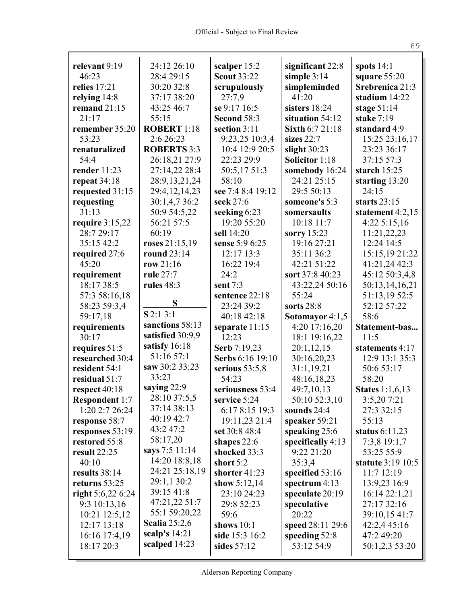| relevant 9:19         | 24:12 26:10                     | scalper 15:2       | significant 22:8      | spots $14:1$           |
|-----------------------|---------------------------------|--------------------|-----------------------|------------------------|
| 46:23                 | 28:4 29:15                      | <b>Scout 33:22</b> | simple $3:14$         | square $55:20$         |
| relies 17:21          | 30:20 32:8                      | scrupulously       | simpleminded          | Srebrenica 21:3        |
| relying $14:8$        | 37:17 38:20                     | 27:7,9             | 41:20                 | stadium 14:22          |
| remand 21:15          | 43:25 46:7                      | se 9:17 16:5       | sisters 18:24         | stage $51:14$          |
| 21:17                 | 55:15                           | Second 58:3        | situation 54:12       | stake 7:19             |
| remember 35:20        | <b>ROBERT 1:18</b>              | section 3:11       | Sixth 6:7 21:18       | standard 4:9           |
| 53:23                 | 2:6 26:23                       | 9:23,25 10:3,4     | sizes $22:7$          | 15:25 23:16,17         |
| renaturalized         | <b>ROBERTS 3:3</b>              | 10:4 12:9 20:5     | slight $30:23$        | 23:23 36:17            |
| 54:4                  | 26:18,21 27:9                   | 22:23 29:9         | <b>Solicitor</b> 1:18 | 37:15 57:3             |
| render 11:23          | 27:14,22 28:4                   | 50:5,17 51:3       | somebody 16:24        | starch $15:25$         |
| repeat 34:18          | 28:9, 13, 21, 24                | 58:10              | 24:21 25:15           | starting 13:20         |
| requested 31:15       | 29:4,12,14,23                   | see 7:4 8:4 19:12  | 29:5 50:13            | 24:15                  |
| requesting            | 30:1,4,7 36:2                   | seek 27:6          | someone's 5:3         | starts $23:15$         |
| 31:13                 | 50:9 54:5,22                    | seeking 6:23       | somersaults           | statement $4:2,15$     |
| require $3:15,22$     | 56:21 57:5                      | 19:20 55:20        | 10:18 11:7            | 4:225:15,16            |
| 28:7 29:17            | 60:19                           | sell 14:20         | sorry 15:23           | 11:21,22,23            |
| 35:15 42:2            | roses 21:15,19                  | sense 5:9 6:25     | 19:16 27:21           | 12:24 14:5             |
| required 27:6         | round 23:14                     | 12:17 13:3         | 35:11 36:2            | 15:15,19 21:22         |
| 45:20                 | row $21:16$                     | 16:22 19:4         | 42:21 51:22           | 41:21,24 42:3          |
| requirement           | rule 27:7                       | 24:2               | sort 37:8 40:23       | 45:12 50:3,4,8         |
| 18:17 38:5            | rules 48:3                      | sent $7:3$         | 43:22,24 50:16        | 50:13,14,16,21         |
| 57:3 58:16,18         | S                               | sentence 22:18     | 55:24                 | 51:13,19 52:5          |
| 58:23 59:3,4          |                                 | 23:24 39:2         | sorts $28:8$          | 52:12 57:22            |
| 59:17,18              | $S$ 2:1 3:1                     | 40:18 42:18        | Sotomayor 4:1,5       | 58:6                   |
| requirements          | sanctions 58:13                 | separate 11:15     | 4:20 17:16,20         | Statement-bas          |
| 30:17                 | satisfied 30:9,9                | 12:23              | 18:1 19:16,22         | 11:5                   |
| requires 51:5         | satisfy 16:18                   | Serb 7:19,23       | 20:1,12,15            | statements 4:17        |
| researched 30:4       | 51:16 57:1                      | Serbs 6:16 19:10   | 30:16,20,23           | 12:9 13:1 35:3         |
| resident 54:1         | saw 30:2 33:23                  | serious $53:5,8$   | 31:1,19,21            | 50:6 53:17             |
| residual 51:7         | 33:23                           | 54:23              | 48:16,18,23           | 58:20                  |
| respect 40:18         | saying 22:9<br>28:10 37:5,5     | seriousness 53:4   | 49:7,10,13            | <b>States</b> 1:1,6,13 |
| <b>Respondent 1:7</b> |                                 | service 5:24       | 50:10 52:3,10         | 3:5,20 7:21            |
| 1:20 2:7 26:24        | 37:14 38:13                     | 6:17 8:15 19:3     | sounds 24:4           | 27:3 32:15             |
| response 58:7         | 40:19 42:7<br>43:2 47:2         | 19:11,23 21:4      | speaker 59:21         | 55:13                  |
| responses 53:19       |                                 | set 30:8 48:4      | speaking 25:6         | status $6:11,23$       |
| restored 55:8         | 58:17,20                        | shapes $22:6$      | specifically $4:13$   | 7:3,8 19:1,7           |
| result 22:25          | says 7:5 11:14<br>14:20 18:8,18 | shocked 33:3       | 9:22 21:20            | 53:25 55:9             |
| 40:10                 | 24:21 25:18,19                  | short 5:2          | 35:3,4                | statute 3:19 10:5      |
| results 38:14         |                                 | shorter 41:23      | specified $53:16$     | 11:7 12:19             |
| returns $53:25$       | 29:1,1 30:2<br>39:15 41:8       | show $5:12,14$     | spectrum $4:13$       | 13:9,23 16:9           |
| right $5:6,226:24$    | 47:21,22 51:7                   | 23:10 24:23        | speculate 20:19       | 16:14 22:1,21          |
| 9:3 10:13,16          | 55:1 59:20,22                   | 29:8 52:23         | speculative           | 27:17 32:16            |
| 10:21 12:5,12         | <b>Scalia</b> 25:2,6            | 59:6               | 20:22                 | 39:10,15 41:7          |
| 12:17 13:18           | scalp's $14:21$                 | shows $10:1$       | speed 28:11 29:6      | 42:2,4 45:16           |
| 16:16 17:4,19         | scalped 14:23                   | side 15:3 16:2     | speeding $52:8$       | 47:2 49:20             |
| 18:17 20:3            |                                 | sides $57:12$      | 53:12 54:9            | 50:1,2,3 53:20         |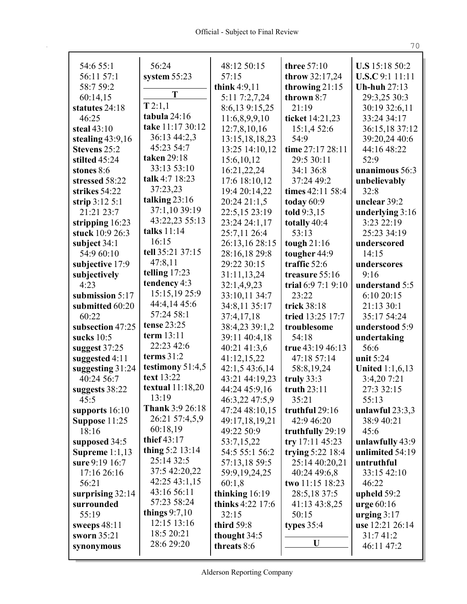| 54:6 55:1           | 56:24                          | 48:12 50:15             | three 57:10        | <b>U.S</b> 15:18 50:2  |
|---------------------|--------------------------------|-------------------------|--------------------|------------------------|
| 56:11 57:1          | system $55:23$                 | 57:15                   | throw 32:17,24     | <b>U.S.C</b> 9:1 11:11 |
| 58:7 59:2           |                                | think 4:9,11            | throwing $21:15$   | <b>Uh-huh 27:13</b>    |
| 60:14,15            | T                              | 5:11 7:2,7,24           | thrown 8:7         | 29:3,25 30:3           |
| statutes 24:18      | T2:1,1                         | 8:6,13 9:15,25          | 21:19              | 30:19 32:6,11          |
| 46:25               | tabula 24:16                   | 11:6,8,9,9,10           | ticket 14:21,23    | 33:24 34:17            |
| steal $43:10$       | take 11:17 30:12               | 12:7,8,10,16            | 15:1,4 52:6        | 36:15,18 37:12         |
| stealing 43:9,16    | 36:13 44:2,3                   | 13:15,18,18,23          | 54:9               | 39:20,24 40:6          |
| <b>Stevens 25:2</b> | 45:23 54:7                     | 13:25 14:10,12          | time 27:17 28:11   | 44:16 48:22            |
| stilted 45:24       | taken 29:18                    | 15:6,10,12              | 29:5 30:11         | 52:9                   |
| stones 8:6          | 33:13 53:10                    | 16:21,22,24             | 34:1 36:8          | unanimous 56:3         |
| stressed 58:22      | talk 4:7 18:23                 | 17:6 18:10,12           | 37:24 49:2         | unbelievably           |
| strikes 54:22       | 37:23,23                       | 19:4 20:14,22           | times 42:11 58:4   | 32:8                   |
| strip $3:12\,5:1$   | talking $23:16$                | 20:24 21:1,5            | today $60:9$       | unclear 39:2           |
| 21:21 23:7          | 37:1,10 39:19                  | 22:5,15 23:19           | told 9:3,15        | underlying 3:16        |
| stripping 16:23     | 43:22,23 55:13                 | 23:24 24:1,17           | totally 40:4       | 3:23 22:19             |
| stuck 10:9 26:3     | talks $11:14$                  | 25:7,11 26:4            | 53:13              | 25:23 34:19            |
| subject 34:1        | 16:15                          | 26:13,16 28:15          | tough $21:16$      | underscored            |
| 54:9 60:10          | tell 35:21 37:15               | 28:16,18 29:8           | tougher 44:9       | 14:15                  |
| subjective 17:9     | 47:8,11                        | 29:22 30:15             | traffic 52:6       | underscores            |
| subjectively        | telling $17:23$                | 31:11,13,24             | treasure 55:16     | 9:16                   |
| 4:23                | tendency 4:3                   | 32:1,4,9,23             | trial $6:97:19:10$ | understand 5:5         |
| submission 5:17     | 15:15,19 25:9                  | 33:10,11 34:7           | 23:22              | 6:10 20:15             |
| submitted 60:20     | 44:4,14 45:6                   | 34:8,11 35:17           | trick 38:18        | 21:13 30:1             |
| 60:22               | 57:24 58:1                     | 37:4,17,18              | tried 13:25 17:7   | 35:17 54:24            |
| subsection 47:25    | tense 23:25                    | 38:4,23 39:1,2          | troublesome        | understood 5:9         |
| sucks 10:5          | term 13:11                     | 39:11 40:4,18           | 54:18              | undertaking            |
| suggest 37:25       | 22:23 42:6                     | 40:21 41:3,6            | true 43:19 46:13   | 56:6                   |
| suggested 4:11      | terms $31:2$                   | 41:12,15,22             | 47:18 57:14        | unit 5:24              |
| suggesting 31:24    | testimony $51:4,5$             | 42:1,5 43:6,14          | 58:8,19,24         | <b>United 1:1,6,13</b> |
| 40:24 56:7          | text 13:22                     | 43:21 44:19,23          | truly $33:3$       | 3:4,207:21             |
| suggests 38:22      | textual $11:18,20$             | 44:24 45:9,16           | truth $23:11$      | 27:3 32:15             |
| 45:5                | 13:19                          | 46:3,22 47:5,9          | 35:21              | 55:13                  |
| supports 16:10      | <b>Thank 3:9 26:18</b>         | 47:24 48:10,15          | truthful 29:16     | unlawful $23:3,3$      |
| Suppose 11:25       | 26:21 57:4,5,9                 | 49:17,18,19,21          | 42:9 46:20         | 38:9 40:21             |
| 18:16               | 60:18,19                       | 49:22 50:9              | truthfully 29:19   | 45:6                   |
| supposed 34:5       | thief 43:17                    | 53:7,15,22              | try 17:11 45:23    | unlawfully 43:9        |
| Supreme $1:1,13$    | thing $5:2$ 13:14              | 54:5 55:1 56:2          | trying 5:22 18:4   | unlimited 54:19        |
| sure 9:19 16:7      | 25:14 32:5                     | 57:13,18 59:5           | 25:14 40:20,21     | untruthful             |
| 17:16 26:16         | 37:5 42:20,22                  | 59:9, 19, 24, 25        | 40:24 49:6,8       | 33:15 42:10            |
| 56:21               | 42:25 43:1,15                  | 60:1,8                  | two 11:15 18:23    | 46:22                  |
| surprising $32:14$  | 43:16 56:11                    | thinking $16:19$        | 28:5,18 37:5       | upheld $59:2$          |
| surrounded          | 57:23 58:24<br>things $9:7,10$ | <b>thinks</b> 4:22 17:6 | 41:13 43:8,25      | $ urge 60:16$          |
| 55:19               | 12:15 13:16                    | 32:15                   | 50:15              | urging $3:17$          |
| sweeps $48:11$      | 18:5 20:21                     | third $59:8$            | types $35:4$       | use 12:21 26:14        |
| sworn 35:21         | 28:6 29:20                     | thought 34:5            | U                  | 31:741:2               |
| synonymous          |                                | threats 8:6             |                    | 46:11 47:2             |